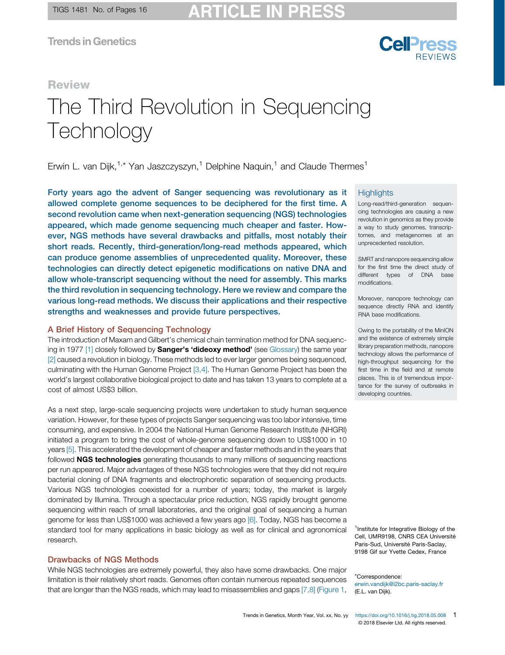

#### Review

# The Third Revolution in Sequencing **Technology**

Erwin L. van Dijk,<sup>1,\*</sup> Yan Jaszczyszyn,<sup>1</sup> Delphine Naquin,<sup>1</sup> and Claude Thermes<sup>1</sup>

Forty years ago the advent of Sanger sequencing was revolutionary as it allowed complete genome sequences to be deciphered for the first time. A second revolution came when next-generation sequencing (NGS) technologies appeared, which made genome sequencing much cheaper and faster. However, NGS methods have several drawbacks and pitfalls, most notably their short reads. Recently, third-generation/long-read methods appeared, which can produce genome assemblies of unprecedented quality. Moreover, these technologies can directly detect epigenetic modifications on native DNA and allow whole-transcript sequencing without the need for assembly. This marks the third revolution in sequencing technology. Here we review and compare the various long-read methods. We discuss their applications and their respective strengths and weaknesses and provide future perspectives.

#### A Brief History of Sequencing Technology

The introduction of Maxam and Gilbert's chemical chain termination method for DNA sequenc-ing in 1977 [\[1\]](#page-14-0) closely followed by **Sanger's 'dideoxy method'** (see [Glossary\)](#page-1-0) the same year [\[2\]](#page-14-0) caused a revolution in biology. These methods led to ever larger genomes being sequenced, culminating with the Human Genome Project [\[3,4\].](#page-14-0) The Human Genome Project has been the world's largest collaborative biological project to date and has taken 13 years to complete at a cost of almost US\$3 billion.

As a next step, large-scale sequencing projects were undertaken to study human sequence variation. However, for these types of projects Sanger sequencing was too labor intensive, time consuming, and expensive. In 2004 the National Human Genome Research Institute (NHGRI) initiated a program to bring the cost of whole-genome sequencing down to US\$1000 in 10 years [\[5\].](#page-14-0) This accelerated the development of cheaper and faster methods and in the years that followed **NGS technologies** generating thousands to many millions of sequencing reactions per run appeared. Major advantages of these NGS technologies were that they did not require bacterial cloning of DNA fragments and electrophoretic separation of sequencing products. Various NGS technologies coexisted for a number of years; today, the market is largely dominated by Illumina. Through a spectacular price reduction, NGS rapidly brought genome sequencing within reach of small laboratories, and the original goal of sequencing a human genome for less than US\$1000 was achieved a few years ago [\[6\]](#page-14-0). Today, NGS has become a standard tool for many applications in basic biology as well as for clinical and agronomical research.

#### Drawbacks of NGS Methods

While NGS technologies are extremely powerful, they also have some drawbacks. One major limitation is their relatively short reads. Genomes often contain numerous repeated sequences that are longer than the NGS reads, which may lead to misassemblies and gaps [\[7,8\]](#page-14-0) [\(Figure](#page-1-0) 1,

#### **Highlights**

Long-read/third-generation sequencing technologies are causing a new revolution in genomics as they provide a way to study genomes, transcriptomes, and metagenomes at an unprecedented resolution.

SMRT and nanopore sequencing allow for the first time the direct study of different types of DNA base modifications.

Moreover, nanopore technology can sequence directly RNA and identify RNA base modifications.

Owing to the portability of the MinION and the existence of extremely simple library preparation methods, nanopore technology allows the performance of high-throughput sequencing for the first time in the field and at remote places. This is of tremendous importance for the survey of outbreaks in developing countries.

<sup>1</sup>Institute for Integrative Biology of the Cell, UMR9198, CNRS CEA Université Paris-Sud, Université Paris-Saclay, 9198 Gif sur Yvette Cedex, France

\*Correspondence:

[erwin.vandijk@i2bc.paris-saclay.fr](mailto:erwin.vandijk@i2bc.paris-saclay.fr) (E.L. van Dijk).

Trends in Genetics, Month Year, Vol. xx, No. yy <https://doi.org/10.1016/j.tig.2018.05.008> 1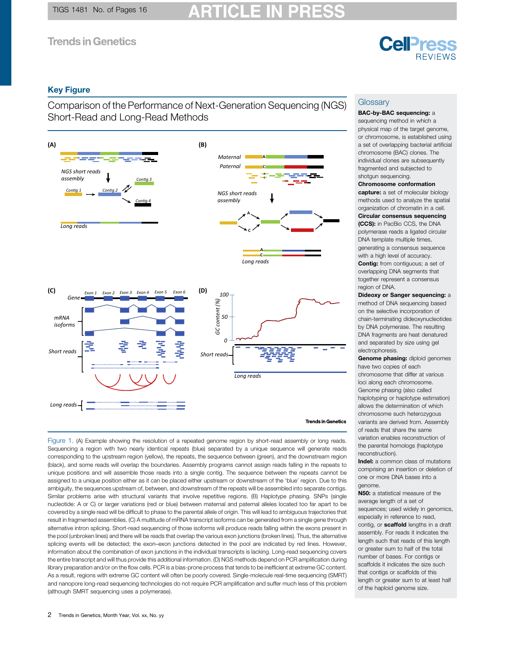## **Cell**<sub>ress</sub> **REVIEWS**

#### <span id="page-1-0"></span>Key Figure

Comparison of the Performance of Next-Generation Sequencing (NGS) Short-Read and Long-Read Methods



#### **Trends in Genetics**

Figure 1. (A) Example showing the resolution of a repeated genome region by short-read assembly or long reads. Sequencing a region with two nearly identical repeats (blue) separated by a unique sequence will generate reads corresponding to the upstream region (yellow), the repeats, the sequence between (green), and the downstream region (black), and some reads will overlap the boundaries. Assembly programs cannot assign reads falling in the repeats to unique positions and will assemble those reads into a single contig. The sequence between the repeats cannot be assigned to a unique position either as it can be placed either upstream or downstream of the 'blue' region. Due to this ambiguity, the sequences upstream of, between, and downstream of the repeats will be assembled into separate contigs. Similar problems arise with structural variants that involve repetitive regions. (B) Haplotype phasing. SNPs (single nucleotide: A or C) or larger variations (red or blue) between maternal and paternal alleles located too far apart to be covered by a single read will be difficult to phase to the parental allele of origin. This will lead to ambiguous trajectories that result in fragmented assemblies. (C) A multitude of mRNA transcript isoforms can be generated from a single gene through alternative intron splicing. Short-read sequencing of those isoforms will produce reads falling within the exons present in the pool (unbroken lines) and there will be reads that overlap the various exon junctions (broken lines). Thus, the alternative splicing events will be detected; the exon–exon junctions detected in the pool are indicated by red lines. However, information about the combination of exon junctions in the individual transcripts is lacking. Long-read sequencing covers the entire transcript and will thus provide this additional information. (D) NGS methods depend on PCR amplification during library preparation and/or on the flow cells. PCR is a bias-prone process that tends to be inefficient at extreme GC content. As a result, regions with extreme GC content will often be poorly covered. Single-molecule real-time sequencing (SMRT) and nanopore long-read sequencing technologies do not require PCR amplification and suffer much less of this problem (although SMRT sequencing uses a polymerase).

#### **Glossary**

#### BAC-by-BAC sequencing: a sequencing method in which a physical map of the target genome, or chromosome, is established using a set of overlapping bacterial artificial chromosome (BAC) clones. The individual clones are subsequently fragmented and subjected to

#### shotgun sequencing. Chromosome conformation

capture: a set of molecular biology methods used to analyze the spatial organization of chromatin in a cell.

Circular consensus sequencing (CCS): in PacBio CCS, the DNA polymerase reads a ligated circular DNA template multiple times, generating a consensus sequence with a high level of accuracy. Contig: from contiguous; a set of overlapping DNA segments that together represent a consensus region of DNA.

Dideoxy or Sanger sequencing: a method of DNA sequencing based on the selective incorporation of chain-terminating dideoxynucleotides by DNA polymerase. The resulting DNA fragments are heat denatured and separated by size using gel electrophoresis.

Genome phasing: diploid genomes have two copies of each chromosome that differ at various loci along each chromosome. Genome phasing (also called haplotyping or haplotype estimation) allows the determination of which chromosome such heterozygous variants are derived from. Assembly of reads that share the same variation enables reconstruction of the parental homologs (haplotype reconstruction).

Indel: a common class of mutations comprising an insertion or deletion of one or more DNA bases into a genome.

N50: a statistical measure of the average length of a set of sequences; used widely in genomics, especially in reference to read, contig, or **scaffold** lengths in a draft assembly. For reads it indicates the length such that reads of this length or greater sum to half of the total number of bases. For contigs or scaffolds it indicates the size such that contigs or scaffolds of this length or greater sum to at least half of the haploid genome size.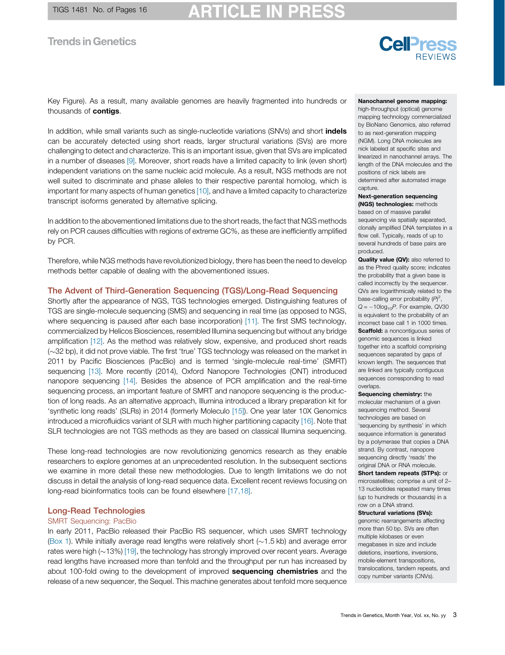## RTICLE I

#### **Trends in Genetics**

# **Cell**ress

Key Figure). As a result, many available genomes are heavily fragmented into hundreds or thousands of **contigs**.

In addition, while small variants such as single-nucleotide variations (SNVs) and short *indels* can be accurately detected using short reads, larger structural variations (SVs) are more challenging to detect and characterize. This is an important issue, given that SVs are implicated in a number of diseases [\[9\]](#page-14-0). Moreover, short reads have a limited capacity to link (even short) independent variations on the same nucleic acid molecule. As a result, NGS methods are not well suited to discriminate and phase alleles to their respective parental homolog, which is important for many aspects of human genetics [\[10\]](#page-14-0), and have a limited capacity to characterize transcript isoforms generated by alternative splicing.

In addition to the abovementioned limitations due to the short reads, the fact that NGS methods rely on PCR causes difficulties with regions of extreme GC%, as these are inefficiently amplified by PCR.

Therefore, while NGS methods have revolutionized biology, there has been the need to develop methods better capable of dealing with the abovementioned issues.

#### The Advent of Third-Generation Sequencing (TGS)/Long-Read Sequencing

Shortly after the appearance of NGS, TGS technologies emerged. Distinguishing features of TGS are single-molecule sequencing (SMS) and sequencing in real time (as opposed to NGS, where sequencing is paused after each base incorporation) [\[11\]](#page-14-0). The first SMS technology, commercialized by Helicos Biosciences, resembled Illumina sequencing but without any bridge amplification [\[12\].](#page-14-0) As the method was relatively slow, expensive, and produced short reads  $(\sim]32$  bp), it did not prove viable. The first 'true' TGS technology was released on the market in 2011 by Pacific Biosciences (PacBio) and is termed 'single-molecule real-time' (SMRT) sequencing [\[13\]](#page-14-0). More recently (2014), Oxford Nanopore Technologies (ONT) introduced nanopore sequencing [\[14\].](#page-14-0) Besides the absence of PCR amplification and the real-time sequencing process, an important feature of SMRT and nanopore sequencing is the production of long reads. As an alternative approach, Illumina introduced a library preparation kit for 'synthetic long reads' (SLRs) in 2014 (formerly Moleculo [\[15\]\)](#page-14-0). One year later 10X Genomics introduced a microfluidics variant of SLR with much higher partitioning capacity [\[16\]](#page-14-0). Note that SLR technologies are not TGS methods as they are based on classical Illumina sequencing.

These long-read technologies are now revolutionizing genomics research as they enable researchers to explore genomes at an unprecedented resolution. In the subsequent sections we examine in more detail these new methodologies. Due to length limitations we do not discuss in detail the analysis of long-read sequence data. Excellent recent reviews focusing on long-read bioinformatics tools can be found elsewhere [\[17,18\]](#page-14-0).

#### Long-Read Technologies

#### SMRT Sequencing: PacBio

In early 2011, PacBio released their PacBio RS sequencer, which uses SMRT technology [\(Box](#page-3-0) 1). While initially average read lengths were relatively short ( $\sim$ 1.5 kb) and average error rates were high  $(\sim 13\%)$  [\[19\],](#page-14-0) the technology has strongly improved over recent years. Average read lengths have increased more than tenfold and the throughput per run has increased by about 100-fold owing to the development of improved **sequencing chemistries** and the release of a new sequencer, the Sequel. This machine generates about tenfold more sequence

#### Nanochannel genome mapping:

high-throughput (optical) genome mapping technology commercialized by BioNano Genomics, also referred to as next-generation mapping (NGM). Long DNA molecules are nick labeled at specific sites and linearized in nanochannel arrays. The length of the DNA molecules and the positions of nick labels are determined after automated image capture.

#### Next-generation sequencing (NGS) technologies: methods

based on of massive parallel sequencing via spatially separated, clonally amplified DNA templates in a flow cell. Typically, reads of up to several hundreds of base pairs are produced.

Quality value (QV): also referred to as the Phred quality score; indicates the probability that a given base is called incorrectly by the sequencer. QVs are logarithmically related to the base-calling error probability  $(P)^2$ ,  $Q = -10\log_{10}P$ . For example, QV30 is equivalent to the probability of an incorrect base call 1 in 1000 times. Scaffold: a noncontiguous series of genomic sequences is linked together into a scaffold comprising sequences separated by gaps of known length. The sequences that are linked are typically contiguous sequences corresponding to read overlaps.

Sequencing chemistry: the molecular mechanism of a given sequencing method. Several technologies are based on 'sequencing by synthesis' in which sequence information is generated by a polymerase that copies a DNA strand. By contrast, nanopore sequencing directly 'reads' the original DNA or RNA molecule.

Short tandem repeats (STPs): or microsatellites; comprise a unit of 2– 13 nucleotides repeated many times (up to hundreds or thousands) in a row on a DNA strand.

#### Structural variations (SVs):

genomic rearrangements affecting more than 50 bp. SVs are often multiple kilobases or even megabases in size and include deletions, insertions, inversions, mobile-element transpositions, translocations, tandem repeats, and copy number variants (CNVs).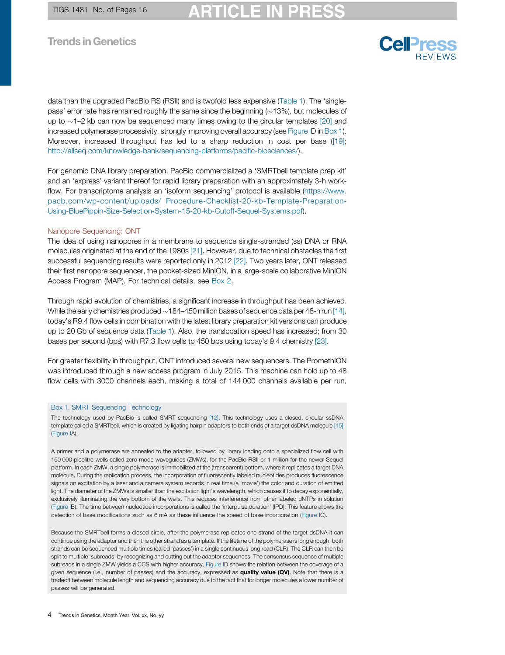# RTICLE I

## <span id="page-3-0"></span>**Trends in Genetics**

data than the upgraded PacBio RS (RSII) and is twofold less expensive ([Table](#page-5-0) 1). The 'singlepass' error rate has remained roughly the same since the beginning  $(\sim 13\%)$ , but molecules of up to  $\sim$ 1–2 kb can now be sequenced many times owing to the circular templates [\[20\]](#page-14-0) and increased polymerase processivity, strongly improving overall accuracy (see [Figure](#page-4-0) ID in Box 1). Moreover, increased throughput has led to a sharp reduction in cost per base [\(\[19\];](#page-14-0) [http://allseq.com/knowledge-bank/sequencing-platforms/paci](http://allseq.com/knowledge-bank/sequencing-platforms/pacific-biosciences/)fic-biosciences/).

For genomic DNA library preparation, PacBio commercialized a 'SMRTbell template prep kit' and an 'express' variant thereof for rapid library preparation with an approximately 3-h workflow. For transcriptome analysis an 'isoform sequencing' protocol is available ([https://www.](https://www.pacb.com/wp-content/uploads/Procedure-Checklist-20-kb-Template-Preparation-Using-BluePippin-Size-Selection-System-15-20-kb-Cutoff-Sequel-Systems.pdf) pacb.com/wp-content/uploads/ [Procedure-Checklist-20-kb-Template-Preparation-](https://www.pacb.com/wp-content/uploads/Procedure-Checklist-20-kb-Template-Preparation-Using-BluePippin-Size-Selection-System-15-20-kb-Cutoff-Sequel-Systems.pdf)[Using-BluePippin-Size-Selection-System-15-20-kb-Cutoff-Sequel-Systems.pdf\)](https://www.pacb.com/wp-content/uploads/Procedure-Checklist-20-kb-Template-Preparation-Using-BluePippin-Size-Selection-System-15-20-kb-Cutoff-Sequel-Systems.pdf).

#### Nanopore Sequencing: ONT

The idea of using nanopores in a membrane to sequence single-stranded (ss) DNA or RNA molecules originated at the end of the 1980s [\[21\].](#page-14-0) However, due to technical obstacles the first successful sequencing results were reported only in 2012 [\[22\].](#page-14-0) Two years later, ONT released their first nanopore sequencer, the pocket-sized MinION, in a large-scale collaborative MinION Access Program (MAP). For technical details, see [Box](#page-7-0) 2.

Through rapid evolution of chemistries, a significant increase in throughput has been achieved. While the early chemistries produced  $\sim$  184–450 million bases of sequence data per 48-h run [\[14\],](#page-14-0) today's R9.4 flow cells in combination with the latest library preparation kit versions can produce up to 20 Gb of sequence data [\(Table](#page-5-0) 1). Also, the translocation speed has increased; from 30 bases per second (bps) with R7.3 flow cells to 450 bps using today's 9.4 chemistry [\[23\]](#page-14-0).

For greater flexibility in throughput, ONT introduced several new sequencers. The PromethION was introduced through a new access program in July 2015. This machine can hold up to 48 flow cells with 3000 channels each, making a total of 144 000 channels available per run,

#### Box 1. SMRT Sequencing Technology

The technology used by PacBio is called SMRT sequencing [\[12\]](#page-14-0). This technology uses a closed, circular ssDNA template called a SMRTbell, which is created by ligating hairpin adaptors to both ends of a target dsDNA molecule [\[15\]](#page-14-0) ([Figure](#page-4-0) IA).

A primer and a polymerase are annealed to the adapter, followed by library loading onto a specialized flow cell with 150 000 picolitre wells called zero mode waveguides (ZMWs), for the PacBio RSII or 1 million for the newer Sequel platform. In each ZMW, a single polymerase is immobilized at the (transparent) bottom, where it replicates a target DNA molecule. During the replication process, the incorporation of fluorescently labeled nucleotides produces fluorescence signals on excitation by a laser and a camera system records in real time (a 'movie') the color and duration of emitted light. The diameter of the ZMWs is smaller than the excitation light's wavelength, which causes it to decay exponentially, exclusively illuminating the very bottom of the wells. This reduces interference from other labeled dNTPs in solution ([Figure](#page-4-0) IB). The time between nucleotide incorporations is called the 'interpulse duration' (IPD). This feature allows the detection of base modifications such as 6 mA as these influence the speed of base incorporation [\(Figure](#page-4-0) IC).

Because the SMRTbell forms a closed circle, after the polymerase replicates one strand of the target dsDNA it can continue using the adaptor and then the other strand as a template. If the lifetime of the polymerase is long enough, both strands can be sequenced multiple times (called 'passes') in a single continuous long read (CLR). The CLR can then be split to multiple 'subreads' by recognizing and cutting out the adaptor sequences. The consensus sequence of multiple subreads in a single ZMW yields a CCS with higher accuracy. [Figure](#page-4-0) ID shows the relation between the coverage of a given sequence (i.e., number of passes) and the accuracy, expressed as quality value (QV). Note that there is a tradeoff between molecule length and sequencing accuracy due to the fact that for longer molecules a lower number of passes will be generated.

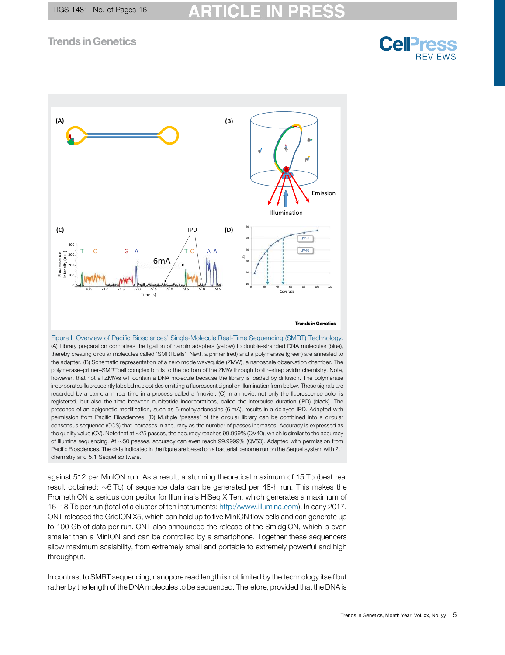

<span id="page-4-0"></span>

**Example the length of the DNA molecules to be sequenced**. Therefore, provided that the DNA molecules to be sequenced. Therefore, provided that the DNA is Fluorence intensity (a.u.) and the DNA is Fluorence intensity of (A) Library preparation comprises the ligation of hairpin adapters (yellow) to double-stranded DNA molecules (blue), thereby creating circular molecules called 'SMRTbells'. Next, a primer (red) and a polymerase (green) are annealed to the adapter. (B) Schematic representation of a zero mode waveguide (ZMW), a nanoscale observation chamber. The polymerase–primer–SMRTbell complex binds to the bottom of the ZMW through biotin–streptavidin chemistry. Note, however, that not all ZMWs will contain a DNA molecule because the library is loaded by diffusion. The polymerase incorporates fluorescently labeled nucleotides emitting a fluorescent signal on illumination from below. These signals are recorded by a camera in real time in a process called a 'movie'. (C) In a movie, not only the fluorescence color is registered, but also the time between nucleotide incorporations, called the interpulse duration (IPD) (black). The presence of an epigenetic modification, such as 6-methyladenosine (6 mA), results in a delayed IPD. Adapted with permission from Pacific Biosciences. (D) Multiple 'passes' of the circular library can be combined into a circular consensus sequence (CCS) that increases in accuracy as the number of passes increases. Accuracy is expressed as the quality value (QV). Note that at ~25 passes, the accuracy reaches 99.999% (QV40), which is similar to the accuracy of Illumina sequencing. At ~50 passes, accuracy can even reach 99.9999% (QV50). Adapted with permission from Pacific Biosciences. The data indicated in the figure are based on a bacterial genome run on the Sequel system with 2.1 chemistry and 5.1 Sequel software.

against 512 per MinION run. As a result, a stunning theoretical maximum of 15 Tb (best real result obtained:  $\sim$  6 Tb) of sequence data can be generated per 48-h run. This makes the PromethION a serious competitor for Illumina's HiSeq X Ten, which generates a maximum of 16–18 Tb per run (total of a cluster of ten instruments; <http://www.illumina.com>). In early 2017, ONT released the GridION X5, which can hold up to five MinION flow cells and can generate up to 100 Gb of data per run. ONT also announced the release of the SmidgION, which is even smaller than a MinION and can be controlled by a smartphone. Together these sequencers allow maximum scalability, from extremely small and portable to extremely powerful and high throughput.

In contrast to SMRT sequencing, nanopore read length is not limited by the technology itself but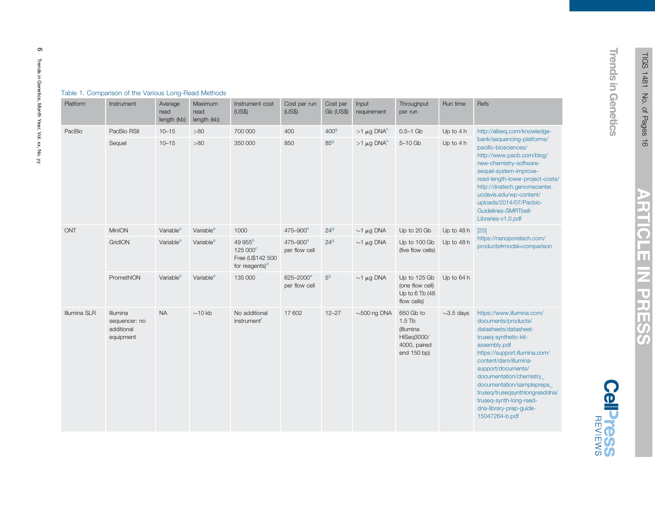| Platform     | Instrument                                                  | Average<br>read<br>length (kb) | Maximum<br>read<br>length (kb) | Instrument cost<br>(US\$)                                                         | Cost per run<br>(US\$)                 | Cost per<br>Gb (US\$) | Input<br>requirement        | Throughput<br>per run                                                           | Run time        | Refs                                                                                                                                                                                                                                                                                                                                                                  |
|--------------|-------------------------------------------------------------|--------------------------------|--------------------------------|-----------------------------------------------------------------------------------|----------------------------------------|-----------------------|-----------------------------|---------------------------------------------------------------------------------|-----------------|-----------------------------------------------------------------------------------------------------------------------------------------------------------------------------------------------------------------------------------------------------------------------------------------------------------------------------------------------------------------------|
| PacBio       | PacBio RSII                                                 | $10 - 15$                      | $>80$                          | 700 000                                                                           | 400                                    | 400 <sup>9</sup>      | $>1 \mu$ g DNA <sup>h</sup> | $0.5 - 1$ Gb                                                                    | Up to 4 h       | http://allseq.com/knowledge-                                                                                                                                                                                                                                                                                                                                          |
|              | Sequel                                                      | $10 - 15$                      | >80                            | 350 000                                                                           | 850                                    | 85 <sup>9</sup>       | $>1 \mu$ g DNA <sup>h</sup> | $5-10$ Gb                                                                       | Up to 4 h       | bank/sequencing-platforms/<br>pacific-biosciences/<br>http://www.pacb.com/blog/<br>new-chemistry-software-<br>sequel-system-improve-<br>read-length-lower-project-costs/<br>http://dnatech.genomecenter.<br>ucdavis.edu/wp-content/<br>uploads/2014/07/Pacbio-<br>Guidelines-SMRTbell-<br>Libraries-v1.0.pdf                                                          |
| <b>ONT</b>   | MinION                                                      | Variable <sup>a</sup>          | Variable <sup>a</sup>          | 1000                                                                              | 475-900 <sup>e</sup>                   | 24 <sup>9</sup>       | $\sim$ 1 µg DNA             | Up to 20 Gb                                                                     | Up to 48 h      | [25]<br>https://nanoporetech.com/<br>products#modal=comparison                                                                                                                                                                                                                                                                                                        |
|              | GridION                                                     | Variable <sup>a</sup>          | Variable <sup>a</sup>          | 49 955 <sup>b</sup><br>125 000°<br>Free (U\$142 500<br>for reagents) <sup>d</sup> | 475-900 <sup>e</sup><br>per flow cell  | 24 <sup>9</sup>       | $\sim$ 1 µg DNA             | Up to 100 Gb<br>(five flow cells)                                               | Up to 48 h      |                                                                                                                                                                                                                                                                                                                                                                       |
|              | PromethION                                                  | Variable <sup>a</sup>          | Variable <sup>a</sup>          | 135 000                                                                           | 625-2000 <sup>e</sup><br>per flow cell | $5^{\rm g}$           | $\sim$ 1 µg DNA             | Up to 125 Gb<br>(one flow cell)<br>Up to 6 Tb (48<br>flow cells)                | Up to 64 h      |                                                                                                                                                                                                                                                                                                                                                                       |
| Illumina SLR | <b>Illumina</b><br>sequencer: no<br>additional<br>equipment | <b>NA</b>                      | $\sim$ 10 kb                   | No additional<br>instrument                                                       | 17 602                                 | $12 - 27$             | $\sim$ 500 ng DNA           | 650 Gb to<br>$1.5$ Tb<br>(Illumina<br>HiSeg3000/<br>4000, paired<br>end 150 bp) | $\sim$ 3.5 days | https://www.illumina.com/<br>documents/products/<br>datasheets/datasheet-<br>truseq-synthetic-kit-<br>assembly.pdf<br>https://support.illumina.com/<br>content/dam/illumina-<br>support/documents/<br>documentation/chemistry<br>documentation/samplepreps_<br>truseq/truseqsynthlongreaddna/<br>truseq-synth-long-read-<br>dna-library-prep-guide-<br>15047264-b.pdf |

#### <span id="page-5-0"></span>Table 1. Comparison of the Various Long-Read Methods

≼

**ARTICLE IN PRESS** 

**Trends in Genetics** 

ಕ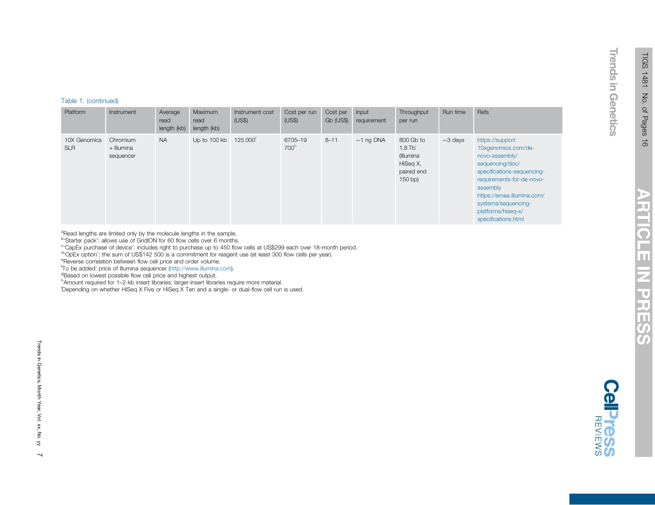# **ARTICLE IN PRE** .<br>ဟ

**Celpress** 

#### <span id="page-6-0"></span>Table 1. (continued)

| Platform                   | Instrument                          | Average<br>read<br>length (kb) | Maximum<br>read<br>length (kb) | Instrument cost<br>(US\$) | Cost per run<br>(US\$)      | Cost per<br><b>Gb (US\$)</b> | <b>Input</b><br>requirement | Throughput<br>per run                                                     | Run time      | Refs                                                                                                                                                                                                                                                  |
|----------------------------|-------------------------------------|--------------------------------|--------------------------------|---------------------------|-----------------------------|------------------------------|-----------------------------|---------------------------------------------------------------------------|---------------|-------------------------------------------------------------------------------------------------------------------------------------------------------------------------------------------------------------------------------------------------------|
| 10X Genomics<br><b>SLR</b> | Chromium<br>+ Illumina<br>sequencer | <b>NA</b>                      | Up to 100 kb                   | 125 000 <sup>'</sup>      | 6705-19<br>700 <sup>h</sup> | $8 - 11$                     | $\sim$ 1 ng DNA             | 800 Gb to<br>$1.8$ Tb<br>(Illumina<br>HiSeg X,<br>paired end<br>$150$ bp) | $\sim$ 3 days | https://support.<br>10xgenomics.com/de-<br>novo-assembly/<br>sequencing/doc/<br>specifications-sequencing-<br>requirements-for-de-novo-<br>assembly<br>https://emea.illumina.com/<br>systems/sequencing-<br>platforms/hiseq-x/<br>specifications.html |

<sup>a</sup>Read lengths are limited only by the molecule lengths in the sample.

<sup>b</sup>'Starter pack': allows use of GridION for 60 flow cells over 6 months.

<sup>c</sup> CapEx purchase of device': includes right to purchase up to 450 flow cells at US\$299 each over 18-month period.

<sup>d</sup>'OpEx option': the sum of US\$142 500 is a commitment for reagent use (at least 300 flow cells per year).

eReverse correlation between flow cell price and order volume.

f To be added: price of Illumina sequencer [\(http://www.illumina.com](http://www.illumina.com)).

<sup>9</sup>Based on lowest possible flow cell price and highest output.

hAmount required for 1-2-kb insert libraries; larger-insert libraries require more material.

<sup>i</sup>Depending on whether HiSeq X Five or HiSeq X Ten and a single- or dual-flow cell run is used.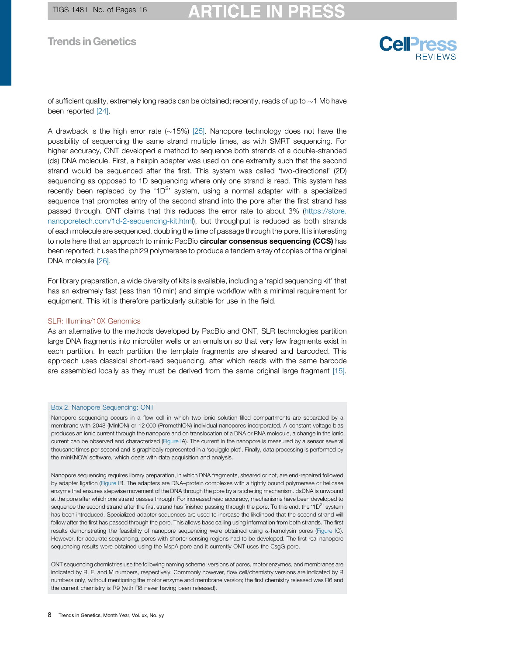

<span id="page-7-0"></span>of sufficient quality, extremely long reads can be obtained; recently, reads of up to  $\sim$  1 Mb have been reported [\[24\].](#page-14-0)

A drawback is the high error rate  $(\sim 15\%)$  [\[25\].](#page-14-0) Nanopore technology does not have the possibility of sequencing the same strand multiple times, as with SMRT sequencing. For higher accuracy, ONT developed a method to sequence both strands of a double-stranded (ds) DNA molecule. First, a hairpin adapter was used on one extremity such that the second strand would be sequenced after the first. This system was called 'two-directional' (2D) sequencing as opposed to 1D sequencing where only one strand is read. This system has recently been replaced by the '1D<sup>2</sup>' system, using a normal adapter with a specialized sequence that promotes entry of the second strand into the pore after the first strand has passed through. ONT claims that this reduces the error rate to about 3% ([https://store.](https://store.nanoporetech.com/1d-2-sequencing-kit.html) [nanoporetech.com/1d-2-sequencing-kit.html\)](https://store.nanoporetech.com/1d-2-sequencing-kit.html), but throughput is reduced as both strands of each molecule are sequenced, doubling the time of passage through the pore. It is interesting to note here that an approach to mimic PacBio **circular consensus sequencing (CCS)** has been reported; it uses the phi29 polymerase to produce a tandem array of copies of the original DNA molecule [\[26\]](#page-14-0).

For library preparation, a wide diversity of kits is available, including a 'rapid sequencing kit' that has an extremely fast (less than 10 min) and simple workflow with a minimal requirement for equipment. This kit is therefore particularly suitable for use in the field.

#### SLR: Illumina/10X Genomics

As an alternative to the methods developed by PacBio and ONT, SLR technologies partition large DNA fragments into microtiter wells or an emulsion so that very few fragments exist in each partition. In each partition the template fragments are sheared and barcoded. This approach uses classical short-read sequencing, after which reads with the same barcode are assembled locally as they must be derived from the same original large fragment [\[15\].](#page-14-0)

#### Box 2. Nanopore Sequencing: ONT

Nanopore sequencing occurs in a flow cell in which two ionic solution-filled compartments are separated by a membrane with 2048 (MinION) or 12 000 (PromethION) individual nanopores incorporated. A constant voltage bias produces an ionic current through the nanopore and on translocation of a DNA or RNA molecule, a change in the ionic current can be observed and characterized ([Figure](#page-8-0) IA). The current in the nanopore is measured by a sensor several thousand times per second and is graphically represented in a 'squiggle plot'. Finally, data processing is performed by the minKNOW software, which deals with data acquisition and analysis.

Nanopore sequencing requires library preparation, in which DNA fragments, sheared or not, are end-repaired followed by adapter ligation ([Figure](#page-8-0) IB. The adapters are DNA–protein complexes with a tightly bound polymerase or helicase enzyme that ensures stepwise movement of the DNA through the pore by a ratcheting mechanism. dsDNA is unwound at the pore after which one strand passes through. For increased read accuracy, mechanisms have been developed to sequence the second strand after the first strand has finished passing through the pore. To this end, the '1D<sup>2</sup>' system has been introduced. Specialized adapter sequences are used to increase the likelihood that the second strand will follow after the first has passed through the pore. This allows base calling using information from both strands. The first results demonstrating the feasibility of nanopore sequencing were obtained using a-hemolysin pores ([Figure](#page-8-0) IC). However, for accurate sequencing, pores with shorter sensing regions had to be developed. The first real nanopore sequencing results were obtained using the MspA pore and it currently ONT uses the CsgG pore.

ONT sequencing chemistries use the following naming scheme: versions of pores, motor enzymes, and membranes are indicated by R, E, and M numbers, respectively. Commonly however, flow cell/chemistry versions are indicated by R numbers only, without mentioning the motor enzyme and membrane version; the first chemistry released was R6 and the current chemistry is R9 (with R8 never having been released).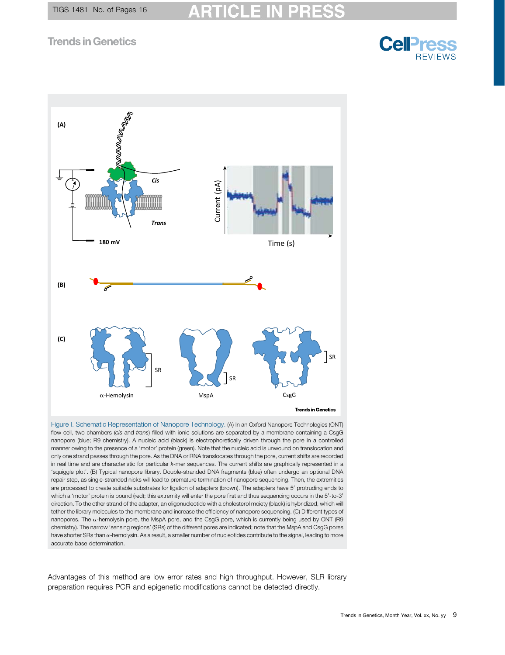

<span id="page-8-0"></span>

Figure I. Schematic Representation of Nanopore Technology. (A) In an Oxford Nanopore Technologies (ONT) flow cell, two chambers (cis and trans) filled with ionic solutions are separated by a membrane containing a CsgG nanopore (blue; R9 chemistry). A nucleic acid (black) is electrophoretically driven through the pore in a controlled manner owing to the presence of a 'motor' protein (green). Note that the nucleic acid is unwound on translocation and only one strand passes through the pore. As the DNA or RNA translocates through the pore, current shifts are recorded in real time and are characteristic for particular k-mer sequences. The current shifts are graphically represented in a 'squiggle plot'. (B) Typical nanopore library. Double-stranded DNA fragments (blue) often undergo an optional DNA repair step, as single-stranded nicks will lead to premature termination of nanopore sequencing. Then, the extremities are processed to create suitable substrates for ligation of adapters (brown). The adapters have 5' protruding ends to which a 'motor' protein is bound (red); this extremity will enter the pore first and thus sequencing occurs in the 5'-to-3' direction. To the other strand of the adapter, an oligonucleotide with a cholesterol moiety (black) is hybridized, which will tether the library molecules to the membrane and increase the efficiency of nanopore sequencing. (C) Different types of nanopores. The  $\alpha$ -hemolysin pore, the MspA pore, and the CsgG pore, which is currently being used by ONT (R9 chemistry). The narrow 'sensing regions' (SRs) of the different pores are indicated; note that the MspA and CsgG pores have shorter SRs than  $\alpha$ -hemolysin. As a result, a smaller number of nucleotides contribute to the signal, leading to more accurate base determination.

Advantages of this method are low error rates and high throughput. However, SLR library preparation requires PCR and epigenetic modifications cannot be detected directly.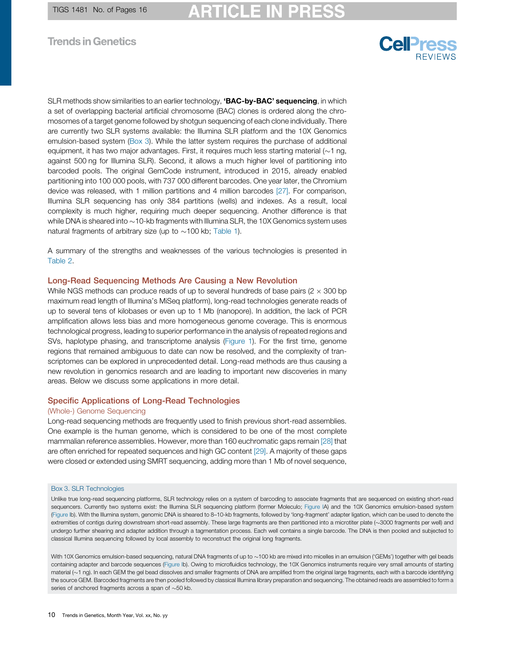SLR methods show similarities to an earlier technology, 'BAC-by-BAC' sequencing, in which a set of overlapping bacterial artificial chromosome (BAC) clones is ordered along the chromosomes of a target genome followed by shotgun sequencing of each clone individually. There are currently two SLR systems available: the Illumina SLR platform and the 10X Genomics emulsion-based system (Box 3). While the latter system requires the purchase of additional equipment, it has two major advantages. First, it requires much less starting material ( $\sim$ 1 ng, against 500 ng for Illumina SLR). Second, it allows a much higher level of partitioning into barcoded pools. The original GemCode instrument, introduced in 2015, already enabled partitioning into 100 000 pools, with 737 000 different barcodes. One year later, the Chromium device was released, with 1 million partitions and 4 million barcodes [\[27\]](#page-14-0). For comparison, Illumina SLR sequencing has only 384 partitions (wells) and indexes. As a result, local complexity is much higher, requiring much deeper sequencing. Another difference is that while DNA is sheared into  $\sim$  10-kb fragments with Illumina SLR, the 10X Genomics system uses natural fragments of arbitrary size (up to  $\sim$ 100 kb; [Table](#page-5-0) 1).

A summary of the strengths and weaknesses of the various technologies is presented in [Table](#page-11-0) 2.

#### Long-Read Sequencing Methods Are Causing a New Revolution

While NGS methods can produce reads of up to several hundreds of base pairs ( $2 \times 300$  bp maximum read length of Illumina's MiSeq platform), long-read technologies generate reads of up to several tens of kilobases or even up to 1 Mb (nanopore). In addition, the lack of PCR amplification allows less bias and more homogeneous genome coverage. This is enormous technological progress, leading to superior performance in the analysis of repeated regions and SVs, haplotype phasing, and transcriptome analysis ([Figure](#page-1-0) 1). For the first time, genome regions that remained ambiguous to date can now be resolved, and the complexity of transcriptomes can be explored in unprecedented detail. Long-read methods are thus causing a new revolution in genomics research and are leading to important new discoveries in many areas. Below we discuss some applications in more detail.

#### Specific Applications of Long-Read Technologies

#### (Whole-) Genome Sequencing

Long-read sequencing methods are frequently used to finish previous short-read assemblies. One example is the human genome, which is considered to be one of the most complete mammalian reference assemblies. However, more than 160 euchromatic gaps remain [\[28\]](#page-14-0) that are often enriched for repeated sequences and high GC content [\[29\].](#page-14-0) A majority of these gaps were closed or extended using SMRT sequencing, adding more than 1 Mb of novel sequence,

#### Box 3. SLR Technologies

Unlike true long-read sequencing platforms, SLR technology relies on a system of barcoding to associate fragments that are sequenced on existing short-read sequencers. Currently two systems exist: the Illumina SLR sequencing platform (former Moleculo; [Figure](#page-10-0) IA) and the 10X Genomics emulsion-based system ([Figure](#page-10-0) Ib). With the Illumina system, genomic DNA is sheared to 8–10-kb fragments, followed by 'long-fragment' adapter ligation, which can be used to denote the extremities of contigs during downstream short-read assembly. These large fragments are then partitioned into a microtiter plate (~3000 fragments per well) and undergo further shearing and adapter addition through a tagmentation process. Each well contains a single barcode. The DNA is then pooled and subjected to classical Illumina sequencing followed by local assembly to reconstruct the original long fragments.

With 10X Genomics emulsion-based sequencing, natural DNA fragments of up to ~100 kb are mixed into micelles in an emulsion ('GEMs') together with gel beads containing adapter and barcode sequences [\(Figure](#page-10-0) Ib). Owing to microfluidics technology, the 10X Genomics instruments require very small amounts of starting material  $(-1)$  ng). In each GEM the gel bead dissolves and smaller fragments of DNA are amplified from the original large fragments, each with a barcode identifying the source GEM. Barcoded fragments are then pooled followed by classical Illumina library preparation and sequencing. The obtained reads are assembled to form a series of anchored fragments across a span of  $\sim$  50 kb.

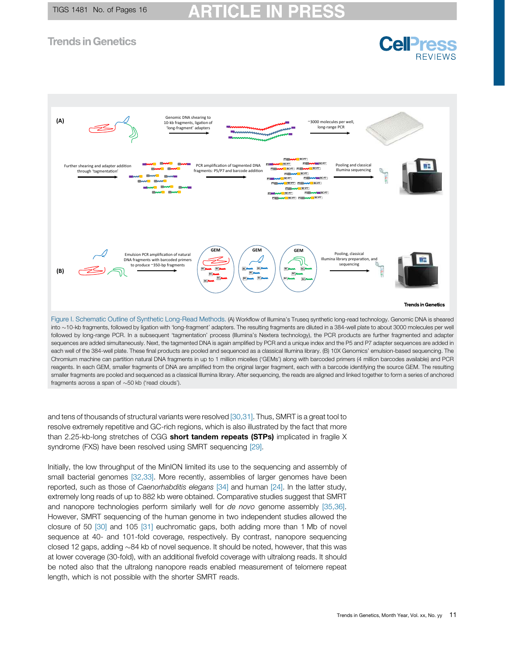<span id="page-10-0"></span>

into ~10-kb fragments, followed by ligation with 'long-fragment' adapters. The resulting fragments are diluted in a 384-well plate to about 3000 molecules per well followed by long-range PCR. In a subsequent 'tagmentation' process (Illumina's Nextera technology), the PCR products are further fragmented and adapter sequences are added simultaneously. Next, the tagmented DNA is again amplified by PCR and a unique index and the P5 and P7 adapter sequences are added in each well of the 384-well plate. These final products are pooled and sequenced as a classical Illumina library. (B) 10X Genomics' emulsion-based sequencing. The Chromium machine can partition natural DNA fragments in up to 1 million micelles ('GEMs') along with barcoded primers (4 million barcodes available) and PCR reagents. In each GEM, smaller fragments of DNA are amplified from the original larger fragment, each with a barcode identifying the source GEM. The resulting smaller fragments are pooled and sequenced as a classical Illumina library. After sequencing, the reads are aligned and linked together to form a series of anchored fragments across a span of  $\sim$  50 kb ('read clouds').

and tens of thousands of structural variants were resolved [\[30,31\]](#page-14-0). Thus, SMRT is a great tool to resolve extremely repetitive and GC-rich regions, which is also illustrated by the fact that more than 2.25-kb-long stretches of CGG short tandem repeats (STPs) implicated in fragile  $X$ syndrome (FXS) have been resolved using SMRT sequencing [\[29\].](#page-14-0)

Initially, the low throughput of the MinION limited its use to the sequencing and assembly of small bacterial genomes [\[32,33\].](#page-14-0) More recently, assemblies of larger genomes have been reported, such as those of Caenorhabditis elegans [\[34\]](#page-14-0) and human [\[24\].](#page-14-0) In the latter study, extremely long reads of up to 882 kb were obtained. Comparative studies suggest that SMRT and nanopore technologies perform similarly well for de novo genome assembly [\[35,36\].](#page-14-0) However, SMRT sequencing of the human genome in two independent studies allowed the closure of 50 [\[30\]](#page-14-0) and 105 [\[31\]](#page-14-0) euchromatic gaps, both adding more than 1 Mb of novel sequence at 40- and 101-fold coverage, respectively. By contrast, nanopore sequencing closed 12 gaps, adding  $\sim$ 84 kb of novel sequence. It should be noted, however, that this was at lower coverage (30-fold), with an additional fivefold coverage with ultralong reads. It should be noted also that the ultralong nanopore reads enabled measurement of telomere repeat length, which is not possible with the shorter SMRT reads.

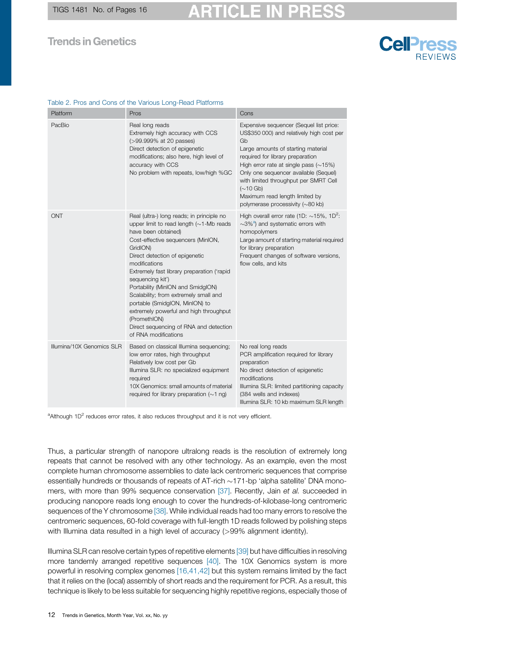<span id="page-11-0"></span>TIGS 1481 No. of Pages 16

#### **Trends in Genetics**

#### Table 2. Pros and Cons of the Various Long-Read Platforms

| Platform                  | Pros                                                                                                                                                                                                                                                                                                                                                                                                                                                                                                                                  | Cons                                                                                                                                                                                                                                                                                                                                                                                           |  |  |  |  |
|---------------------------|---------------------------------------------------------------------------------------------------------------------------------------------------------------------------------------------------------------------------------------------------------------------------------------------------------------------------------------------------------------------------------------------------------------------------------------------------------------------------------------------------------------------------------------|------------------------------------------------------------------------------------------------------------------------------------------------------------------------------------------------------------------------------------------------------------------------------------------------------------------------------------------------------------------------------------------------|--|--|--|--|
| PacBio                    | Real long reads<br>Extremely high accuracy with CCS<br>(>99.999% at 20 passes)<br>Direct detection of epigenetic<br>modifications; also here, high level of<br>accuracy with CCS<br>No problem with repeats, low/high %GC                                                                                                                                                                                                                                                                                                             | Expensive sequencer (Sequel list price:<br>US\$350 000) and relatively high cost per<br>Gb<br>Large amounts of starting material<br>required for library preparation<br>High error rate at single pass $(\sim 15\%)$<br>Only one sequencer available (Sequel)<br>with limited throughput per SMRT Cell<br>$(\sim 10$ Gb)<br>Maximum read length limited by<br>polymerase processivity (~80 kb) |  |  |  |  |
| <b>ONT</b>                | Real (ultra-) long reads; in principle no<br>upper limit to read length $(\sim 1$ -Mb reads<br>have been obtained)<br>Cost-effective sequencers (MinION,<br>GridION)<br>Direct detection of epigenetic<br>modifications<br>Extremely fast library preparation ('rapid<br>sequencing kit')<br>Portability (MinION and SmidgION)<br>Scalability; from extremely small and<br>portable (SmidgION, MinION) to<br>extremely powerful and high throughput<br>(PromethION)<br>Direct sequencing of RNA and detection<br>of RNA modifications | High overall error rate (1D: $\sim$ 15%, 1D <sup>2</sup> :<br>$\sim$ 3% <sup>a</sup> ) and systematic errors with<br>homopolymers<br>Large amount of starting material required<br>for library preparation<br>Frequent changes of software versions,<br>flow cells, and kits                                                                                                                   |  |  |  |  |
| Illumina/10X Genomics SLR | Based on classical Illumina sequencing;<br>low error rates, high throughput<br>Relatively low cost per Gb<br>Illumina SLR: no specialized equipment<br>required<br>10X Genomics: small amounts of material<br>required for library preparation $(\sim 1 \text{ ng})$                                                                                                                                                                                                                                                                  | No real long reads<br>PCR amplification required for library<br>preparation<br>No direct detection of epigenetic<br>modifications<br>Illumina SLR: limited partitioning capacity<br>(384 wells and indexes)<br>Illumina SLR: 10 kb maximum SLR length                                                                                                                                          |  |  |  |  |

<sup>a</sup>Although 1D<sup>2</sup> reduces error rates, it also reduces throughput and it is not very efficient.

Thus, a particular strength of nanopore ultralong reads is the resolution of extremely long repeats that cannot be resolved with any other technology. As an example, even the most complete human chromosome assemblies to date lack centromeric sequences that comprise essentially hundreds or thousands of repeats of AT-rich  $\sim$  171-bp 'alpha satellite' DNA mono-mers, with more than 99% sequence conservation [\[37\].](#page-14-0) Recently, Jain et al. succeeded in producing nanopore reads long enough to cover the hundreds-of-kilobase-long centromeric sequences of the Y chromosome [\[38\]](#page-14-0). While individual reads had too many errors to resolve the centromeric sequences, 60-fold coverage with full-length 1D reads followed by polishing steps with Illumina data resulted in a high level of accuracy (>99% alignment identity).

Illumina SLR can resolve certain types of repetitive elements [\[39\]](#page-14-0) but have difficulties in resolving more tandemly arranged repetitive sequences [\[40\]](#page-14-0). The 10X Genomics system is more powerful in resolving complex genomes [\[16,41,42\]](#page-14-0) but this system remains limited by the fact that it relies on the (local) assembly of short reads and the requirement for PCR. As a result, this technique is likely to be less suitable for sequencing highly repetitive regions, especially those of

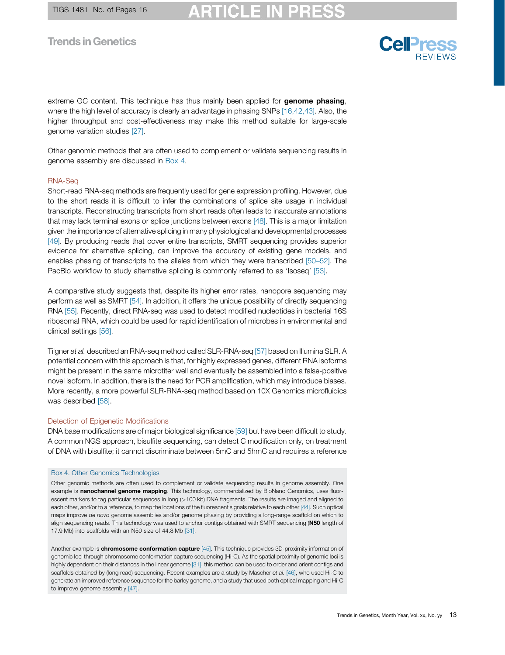extreme GC content. This technique has thus mainly been applied for **genome phasing**, where the high level of accuracy is clearly an advantage in phasing SNPs [\[16,42,43\].](#page-14-0) Also, the higher throughput and cost-effectiveness may make this method suitable for large-scale genome variation studies [\[27\].](#page-14-0)

Other genomic methods that are often used to complement or validate sequencing results in genome assembly are discussed in Box 4.

#### RNA-Seq

Short-read RNA-seq methods are frequently used for gene expression profiling. However, due to the short reads it is difficult to infer the combinations of splice site usage in individual transcripts. Reconstructing transcripts from short reads often leads to inaccurate annotations that may lack terminal exons or splice junctions between exons [\[48\]](#page-15-0). This is a major limitation given the importance of alternative splicing in many physiological and developmental processes [\[49\]](#page-15-0). By producing reads that cover entire transcripts, SMRT sequencing provides superior evidence for alternative splicing, can improve the accuracy of existing gene models, and enables phasing of transcripts to the alleles from which they were transcribed [\[50](#page-15-0)–52]. The PacBio workflow to study alternative splicing is commonly referred to as 'Isoseq' [\[53\]](#page-15-0).

A comparative study suggests that, despite its higher error rates, nanopore sequencing may perform as well as SMRT [\[54\]](#page-15-0). In addition, it offers the unique possibility of directly sequencing RNA [\[55\].](#page-15-0) Recently, direct RNA-seq was used to detect modified nucleotides in bacterial 16S ribosomal RNA, which could be used for rapid identification of microbes in environmental and clinical settings [\[56\].](#page-15-0)

Tilgner et al. described an RNA-seq method called SLR-RNA-seq [\[57\]](#page-15-0) based on Illumina SLR. A potential concern with this approach is that, for highly expressed genes, different RNA isoforms might be present in the same microtiter well and eventually be assembled into a false-positive novel isoform. In addition, there is the need for PCR amplification, which may introduce biases. More recently, a more powerful SLR-RNA-seq method based on 10X Genomics microfluidics was described [\[58\]](#page-15-0).

#### Detection of Epigenetic Modifications

DNA base modifications are of major biological significance [\[59\]](#page-15-0) but have been difficult to study. A common NGS approach, bisulfite sequencing, can detect C modification only, on treatment of DNA with bisulfite; it cannot discriminate between 5mC and 5hmC and requires a reference

#### Box 4. Other Genomics Technologies

Other genomic methods are often used to complement or validate sequencing results in genome assembly. One example is nanochannel genome mapping. This technology, commercialized by BioNano Genomics, uses fluorescent markers to tag particular sequences in long (>100 kb) DNA fragments. The results are imaged and aligned to each other, and/or to a reference, to map the locations of the fluorescent signals relative to each other [\[44\]](#page-15-0). Such optical maps improve de novo genome assemblies and/or genome phasing by providing a long-range scaffold on which to align sequencing reads. This technology was used to anchor contigs obtained with SMRT sequencing (N50 length of 17.9 Mb) into scaffolds with an N50 size of 44.8 Mb [\[31\]](#page-14-0).

Another example is **chromosome conformation capture** [\[45\].](#page-15-0) This technique provides 3D-proximity information of genomic loci through chromosome conformation capture sequencing (Hi-C). As the spatial proximity of genomic loci is highly dependent on their distances in the linear genome [\[31\]](#page-14-0), this method can be used to order and orient contigs and scaffolds obtained by (long read) sequencing. Recent examples are a study by Mascher et al. [\[46\]](#page-15-0), who used Hi-C to generate an improved reference sequence for the barley genome, and a study that used both optical mapping and Hi-C to improve genome assembly [\[47\]](#page-15-0).

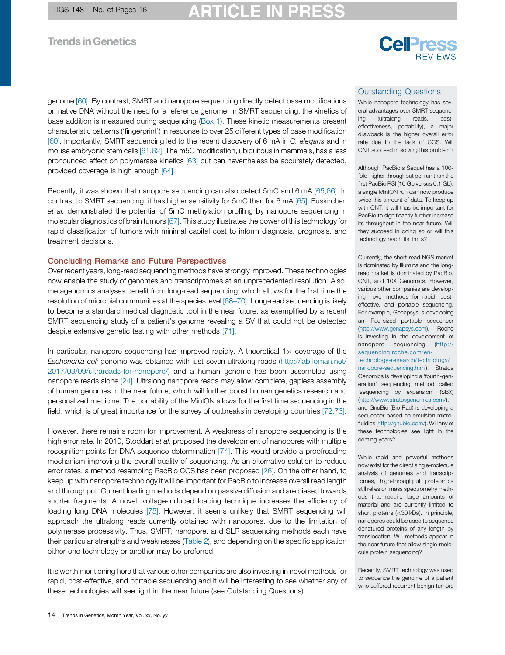#### **ARTICLE IN** PRI

## **Trends in Genetics**

# **Cell**<sup>ress</sup>

genome [\[60\]](#page-15-0). By contrast, SMRT and nanopore sequencing directly detect base modifications on native DNA without the need for a reference genome. In SMRT sequencing, the kinetics of base addition is measured during sequencing ([Box](#page-3-0) 1). These kinetic measurements present characteristic patterns ('fingerprint') in response to over 25 different types of base modification [\[60\]](#page-15-0). Importantly, SMRT sequencing led to the recent discovery of 6 mA in C. elegans and in mouse embryonic stem cells [\[61,62\].](#page-15-0) The m5C modification, ubiquitous in mammals, has a less pronounced effect on polymerase kinetics [\[63\]](#page-15-0) but can nevertheless be accurately detected, provided coverage is high enough [\[64\].](#page-15-0)

Recently, it was shown that nanopore sequencing can also detect 5mC and 6 mA [\[65,66\]](#page-15-0). In contrast to SMRT sequencing, it has higher sensitivity for 5mC than for 6 mA [\[65\]](#page-15-0). Euskirchen et al. demonstrated the potential of 5mC methylation profiling by nanopore sequencing in molecular diagnostics of brain tumors [\[67\]](#page-15-0). This study illustrates the power of this technology for rapid classification of tumors with minimal capital cost to inform diagnosis, prognosis, and treatment decisions.

#### Concluding Remarks and Future Perspectives

Over recent years, long-read sequencing methods have strongly improved. These technologies now enable the study of genomes and transcriptomes at an unprecedented resolution. Also, metagenomics analyses benefit from long-read sequencing, which allows for the first time the resolution of microbial communities at the species level [\[68](#page-15-0)–70]. Long-read sequencing is likely to become a standard medical diagnostic tool in the near future, as exemplified by a recent SMRT sequencing study of a patient's genome revealing a SV that could not be detected despite extensive genetic testing with other methods [\[71\].](#page-15-0)

In particular, nanopore sequencing has improved rapidly. A theoretical  $1 \times$  coverage of the Escherichia coli genome was obtained with just seven ultralong reads [\(http://lab.loman.net/](http://lab.loman.net/2017/03/09/ultrareads-for-nanopore/) [2017/03/09/ultrareads-for-nanopore/\)](http://lab.loman.net/2017/03/09/ultrareads-for-nanopore/) and a human genome has been assembled using nanopore reads alone [\[24\]](#page-14-0). Ultralong nanopore reads may allow complete, gapless assembly of human genomes in the near future, which will further boost human genetics research and personalized medicine. The portability of the MinION allows for the first time sequencing in the field, which is of great importance for the survey of outbreaks in developing countries [\[72,73\].](#page-15-0)

However, there remains room for improvement. A weakness of nanopore sequencing is the high error rate. In 2010, Stoddart et al. proposed the development of nanopores with multiple recognition points for DNA sequence determination [\[74\].](#page-15-0) This would provide a proofreading mechanism improving the overall quality of sequencing. As an alternative solution to reduce error rates, a method resembling PacBio CCS has been proposed [\[26\]](#page-14-0). On the other hand, to keep up with nanopore technology it will be important for PacBio to increase overall read length and throughput. Current loading methods depend on passive diffusion and are biased towards shorter fragments. A novel, voltage-induced loading technique increases the efficiency of loading long DNA molecules [\[75\]](#page-15-0). However, it seems unlikely that SMRT sequencing will approach the ultralong reads currently obtained with nanopores, due to the limitation of polymerase processivity. Thus, SMRT, nanopore, and SLR sequencing methods each have their particular strengths and weaknesses [\(Table](#page-11-0) 2), and depending on the specific application either one technology or another may be preferred.

It is worth mentioning here that various other companies are also investing in novel methods for rapid, cost-effective, and portable sequencing and it will be interesting to see whether any of these technologies will see light in the near future (see Outstanding Questions).

#### Outstanding Questions

While nanopore technology has several advantages over SMRT sequencing (ultralong reads, costeffectiveness, portability), a major drawback is the higher overall error rate due to the lack of CCS. Will ONT succeed in solving this problem?

Although PacBio's Sequel has a 100 fold-higher throughput per run than the first PacBio RSI (10 Gb versus 0.1 Gb), a single MinION run can now produce twice this amount of data. To keep up with ONT, it will thus be important for PacBio to significantly further increase its throughput in the near future. Will they succeed in doing so or will this technology reach its limits?

Currently, the short-read NGS market is dominated by Illumina and the longread market is dominated by PacBio, ONT, and 10X Genomics. However, various other companies are developing novel methods for rapid, costeffective, and portable sequencing. For example, Genapsys is developing an iPad-sized portable sequencer ([http://www.genapsys.com\)](http://www.genapsys.com), Roche is investing in the development of nanopore sequencing ([http://](http://sequencing.roche.com/en/technology-research/technology/nanopore-sequencing.html) [sequencing.roche.com/en/](http://sequencing.roche.com/en/technology-research/technology/nanopore-sequencing.html) [technology-research/technology/](http://sequencing.roche.com/en/technology-research/technology/nanopore-sequencing.html) [nanopore-sequencing.html\)](http://sequencing.roche.com/en/technology-research/technology/nanopore-sequencing.html), Stratos Genomics is developing a 'fourth-generation' sequencing method called 'sequencing by expansion' (SBX) ([http://www.stratosgenomics.com/\)](http://www.stratosgenomics.com/), and GnuBio (Bio Rad) is developing a sequencer based on emulsion microfluidics [\(http://gnubio.com/\)](http://gnubio.com/). Will any of these technologies see light in the coming years?

While rapid and powerful methods now exist for the direct single-molecule analysis of genomes and transcriptomes, high-throughput proteomics still relies on mass spectrometry methods that require large amounts of material and are currently limited to short proteins (<30 kDa). In principle, nanopores could be used to sequence denatured proteins of any length by translocation. Will methods appear in the near future that allow single-molecule protein sequencing?

Recently, SMRT technology was used to sequence the genome of a patient who suffered recurrent benign tumors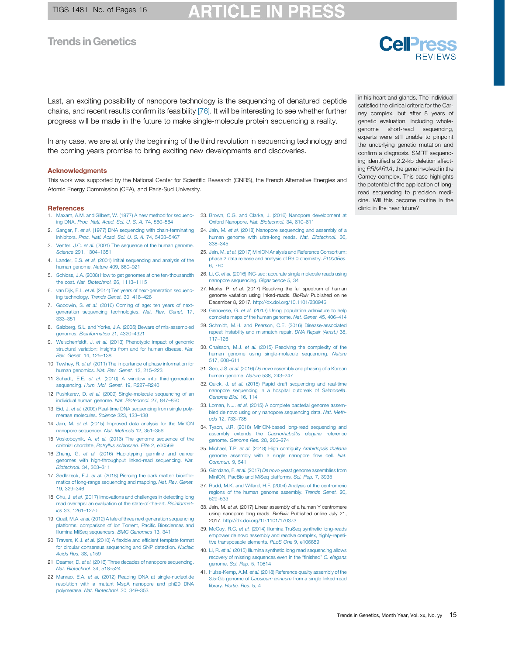<span id="page-14-0"></span>Last, an exciting possibility of nanopore technology is the sequencing of denatured peptide chains, and recent results confirm its feasibility [\[76\].](#page-15-0) It will be interesting to see whether further progress will be made in the future to make single-molecule protein sequencing a reality.

In any case, we are at only the beginning of the third revolution in sequencing technology and the coming years promise to bring exciting new developments and discoveries.

#### **Acknowledgments**

This work was supported by the National Center for Scientific Research (CNRS), the French Alternative Energies and Atomic Energy Commission (CEA), and Paris-Sud University.

#### **References**

- ing DNA. Proc. Natl. [Acad.](http://refhub.elsevier.com/S0168-9525(18)30096-9/sbref0005) Sci. U. S. A. 74, 560–564
- 2. Sanger, F. et al. (1977) DNA sequencing with [chain-terminating](http://refhub.elsevier.com/S0168-9525(18)30096-9/sbref0010) 24. Jain, M. et al. (2018) Nanopore [sequencing](http://refhub.elsevier.com/S0168-9525(18)30096-9/sbref0120) and assembly of a [inhibitors.](http://refhub.elsevier.com/S0168-9525(18)30096-9/sbref0010) Proc. Natl. Acad. Sci. U. S. A. 74, 5463–5467
- 3. Venter, J.C. et al. (2001) The [sequence](http://refhub.elsevier.com/S0168-9525(18)30096-9/sbref0015) of the human genome. [Science](http://refhub.elsevier.com/S0168-9525(18)30096-9/sbref0015) 291, 1304–1351
- 4. Lander, E.S. et al. (2001) Initial [sequencing](http://refhub.elsevier.com/S0168-9525(18)30096-9/sbref0020) and analysis of the human [genome.](http://refhub.elsevier.com/S0168-9525(18)30096-9/sbref0020) Nature 409, 860–921
- 5. Schloss, J.A. (2008) How to get genomes at one [ten-thousandth](http://refhub.elsevier.com/S0168-9525(18)30096-9/sbref0025) the cost. Nat. [Biotechnol.](http://refhub.elsevier.com/S0168-9525(18)30096-9/sbref0025) 26, 1113–1115
- 6. van Dijk, E.L. et al. (2014) Ten years of [next-generation](http://refhub.elsevier.com/S0168-9525(18)30096-9/sbref0030) sequencing [technology.](http://refhub.elsevier.com/S0168-9525(18)30096-9/sbref0030) Trends Genet. 30, 418–426
- 7. [Goodwin,](http://refhub.elsevier.com/S0168-9525(18)30096-9/sbref0035) S. et al. (2016) Coming of age: ten years of nextgeneration sequencing [technologies.](http://refhub.elsevier.com/S0168-9525(18)30096-9/sbref0035) Nat. Rev. Genet. 17, [333](http://refhub.elsevier.com/S0168-9525(18)30096-9/sbref0035)–351
- 8. Salzberg, S.L. and Yorke, J.A. (2005) Beware of [mis-assembled](http://refhub.elsevier.com/S0168-9525(18)30096-9/sbref0040) 29. Schmidt, M.H. and Pearson, C.E. (2016) [Disease-associated](http://refhub.elsevier.com/S0168-9525(18)30096-9/sbref0145) genomes. [Bioinformatics](http://refhub.elsevier.com/S0168-9525(18)30096-9/sbref0040) 21, 4320–4321
- 9. [Weischenfeldt,](http://refhub.elsevier.com/S0168-9525(18)30096-9/sbref0045) J. et al. (2013) Phenotypic impact of genomic [structural](http://refhub.elsevier.com/S0168-9525(18)30096-9/sbref0045) variation: insights from and for human disease. Nat. Rev. [Genet.](http://refhub.elsevier.com/S0168-9525(18)30096-9/sbref0045) 14, 125–138
- 10. Tewhey, R. et al. (2011) The [importance](http://refhub.elsevier.com/S0168-9525(18)30096-9/sbref0050) of phase information for human [genomics.](http://refhub.elsevier.com/S0168-9525(18)30096-9/sbref0050) Nat. Rev. Genet. 12, 215–223
- 11. Schadt, E.E. et al. (2010) A window into [third-generation](http://refhub.elsevier.com/S0168-9525(18)30096-9/sbref0055) [sequencing.](http://refhub.elsevier.com/S0168-9525(18)30096-9/sbref0055) Hum. Mol. Genet. 19, R227-R240
- 12. Pushkarev, D. et al. (2009) [Single-molecule](http://refhub.elsevier.com/S0168-9525(18)30096-9/sbref0060) sequencing of an individual human genome. Nat. [Biotechnol.](http://refhub.elsevier.com/S0168-9525(18)30096-9/sbref0060) 27, 847–850
- 13. Eid, J. et al. (2009) Real-time DNA [sequencing](http://refhub.elsevier.com/S0168-9525(18)30096-9/sbref0065) from single polymerase [molecules.](http://refhub.elsevier.com/S0168-9525(18)30096-9/sbref0065) Science 323, 133–138
- 14. Jain, M. et al. (2015) [Improved](http://refhub.elsevier.com/S0168-9525(18)30096-9/sbref0070) data analysis for the MinION nanopore [sequencer.](http://refhub.elsevier.com/S0168-9525(18)30096-9/sbref0070) Nat. Methods 12, 351–356
- 15. [Voskoboynik,](http://refhub.elsevier.com/S0168-9525(18)30096-9/sbref0075) A. et al. (2013) The genome sequence of the colonial chordate, Botryllus [schlosseri](http://refhub.elsevier.com/S0168-9525(18)30096-9/sbref0075). Elife 2, e00569
- 16. Zheng, G. et al. (2016) [Haplotyping](http://refhub.elsevier.com/S0168-9525(18)30096-9/sbref0080) germline and cancer genomes with [high-throughput](http://refhub.elsevier.com/S0168-9525(18)30096-9/sbref0080) linked-read sequencing. Nat. [Biotechnol.](http://refhub.elsevier.com/S0168-9525(18)30096-9/sbref0080) 34, 303–311
- 17. [Sedlazeck,](http://refhub.elsevier.com/S0168-9525(18)30096-9/sbref0085) F.J. et al. (2018) Piercing the dark matter: bioinformatics of long-range [sequencing](http://refhub.elsevier.com/S0168-9525(18)30096-9/sbref0085) and mapping. Nat. Rev. Genet. 19, [329](http://refhub.elsevier.com/S0168-9525(18)30096-9/sbref0085)–346
- 18. Chu, J. et al. (2017) [Innovations](http://refhub.elsevier.com/S0168-9525(18)30096-9/sbref0090) and challenges in detecting long read overlaps: an evaluation of the [state-of-the-art.](http://refhub.elsevier.com/S0168-9525(18)30096-9/sbref0090) Bioinformatics 33, [1261](http://refhub.elsevier.com/S0168-9525(18)30096-9/sbref0090)–1270
- 19. Quail, M.A. et al. (2012) A tale of three next generation [sequencing](http://refhub.elsevier.com/S0168-9525(18)30096-9/sbref0095) platforms: comparison of Ion Torrent, Pacific [Biosciences](http://refhub.elsevier.com/S0168-9525(18)30096-9/sbref0095) and Illumina MiSeq [sequencers.](http://refhub.elsevier.com/S0168-9525(18)30096-9/sbref0095) BMC Genomics 13, 341
- 20. Travers, K.J. et al. (2010) A flexible and efficient [template](http://refhub.elsevier.com/S0168-9525(18)30096-9/sbref0100) format for circular consensus [sequencing](http://refhub.elsevier.com/S0168-9525(18)30096-9/sbref0100) and SNP detection. Nucleic [Acids](http://refhub.elsevier.com/S0168-9525(18)30096-9/sbref0100) Res. 38, e159
- 21. Deamer, D. et al. (2016) Three decades of nanopore [sequencing.](http://refhub.elsevier.com/S0168-9525(18)30096-9/sbref0105) Nat. [Biotechnol.](http://refhub.elsevier.com/S0168-9525(18)30096-9/sbref0105) 34, 518–524
- 22. Manrao, E.A. et al. (2012) Reading DNA at [single-nucleotide](http://refhub.elsevier.com/S0168-9525(18)30096-9/sbref0110) [resolution](http://refhub.elsevier.com/S0168-9525(18)30096-9/sbref0110) with a mutant MspA nanopore and phi29 DNA [polymerase.](http://refhub.elsevier.com/S0168-9525(18)30096-9/sbref0110) Nat. Biotechnol. 30, 349–353
- 1. Maxam, A.M. and Gilbert, W. (1977) A new method for [sequenc-](http://refhub.elsevier.com/S0168-9525(18)30096-9/sbref0005)23. Brown, C.G. and Clarke, J. (2016) Nanopore [development](http://refhub.elsevier.com/S0168-9525(18)30096-9/sbref0115) at Oxford Nanopore. Nat. [Biotechnol.](http://refhub.elsevier.com/S0168-9525(18)30096-9/sbref0115) 34, 810–811
	- human genome with ultra-long reads. Nat. [Biotechnol.](http://refhub.elsevier.com/S0168-9525(18)30096-9/sbref0120) 36, 338–[345](http://refhub.elsevier.com/S0168-9525(18)30096-9/sbref0120)
	- 25. Jain, M. et al. (2017) MinION Analysis and Reference [Consortium:](http://refhub.elsevier.com/S0168-9525(18)30096-9/sbref0125) phase 2 data release and analysis of R9.0 chemistry. [F1000Res.](http://refhub.elsevier.com/S0168-9525(18)30096-9/sbref0125) 6, [760](http://refhub.elsevier.com/S0168-9525(18)30096-9/sbref0125)
	- 26. Li, C. et al. (2016) INC-seq: accurate single [molecule](http://refhub.elsevier.com/S0168-9525(18)30096-9/sbref0130) reads using nanopore sequencing. [Gigascience](http://refhub.elsevier.com/S0168-9525(18)30096-9/sbref0130) 5, 34
	- 27. Marks, P. et al. (2017) Resolving the full spectrum of human genome variation using linked-reads. BioRxiv Published online December 8, 2017. <http://dx.doi.org/10.1101/230946>
	- 28. [Genovese,](http://refhub.elsevier.com/S0168-9525(18)30096-9/sbref0140) G. et al. (2013) Using population admixture to help [complete](http://refhub.elsevier.com/S0168-9525(18)30096-9/sbref0140) maps of the human genome. Nat. Genet. 45, 406–414
	- repeat instability and [mismatch](http://refhub.elsevier.com/S0168-9525(18)30096-9/sbref0145) repair. DNA Repair (Amst.) 38, 117–[126](http://refhub.elsevier.com/S0168-9525(18)30096-9/sbref0145)
	- 30. Chaisson, M.J. et al. (2015) Resolving the [complexity](http://refhub.elsevier.com/S0168-9525(18)30096-9/sbref0150) of the human genome using [single-molecule](http://refhub.elsevier.com/S0168-9525(18)30096-9/sbref0150) sequencing. Nature [517,](http://refhub.elsevier.com/S0168-9525(18)30096-9/sbref0150) 608–611
	- 31. Seo, J.S. et al. (2016) De novo [assembly](http://refhub.elsevier.com/S0168-9525(18)30096-9/sbref0155) and phasing of a Korean human [genome.](http://refhub.elsevier.com/S0168-9525(18)30096-9/sbref0155) Nature 538, 243–247
	- 32. Quick, J. et al. (2015) Rapid draft [sequencing](http://refhub.elsevier.com/S0168-9525(18)30096-9/sbref0160) and real-time nanopore [sequencing](http://refhub.elsevier.com/S0168-9525(18)30096-9/sbref0160) in a hospital outbreak of Salmonella. [Genome](http://refhub.elsevier.com/S0168-9525(18)30096-9/sbref0160) Biol. 16, 114
	- 33. Loman, N.J. et al. (2015) A [complete](http://refhub.elsevier.com/S0168-9525(18)30096-9/sbref0165) bacterial genome assembled de novo using only nanopore [sequencing](http://refhub.elsevier.com/S0168-9525(18)30096-9/sbref0165) data. Nat. Methods 12, [733](http://refhub.elsevier.com/S0168-9525(18)30096-9/sbref0165)–735
	- 34. Tyson, J.R. (2018) [MinION-based](http://refhub.elsevier.com/S0168-9525(18)30096-9/sbref0170) long-read sequencing and assembly extends the [Caenorhabditis](http://refhub.elsevier.com/S0168-9525(18)30096-9/sbref0170) elegans reference [genome.](http://refhub.elsevier.com/S0168-9525(18)30096-9/sbref0170) Genome Res. 28, 266–274
	- 35. Michael, T.P. et al. (2018) High contiguity [Arabidopsis](http://refhub.elsevier.com/S0168-9525(18)30096-9/sbref0175) thaliana genome assembly with a single [nanopore](http://refhub.elsevier.com/S0168-9525(18)30096-9/sbref0175) flow cell. Nat. [Commun.](http://refhub.elsevier.com/S0168-9525(18)30096-9/sbref0175) 9, 541
	- 36. Giordano, F. et al. (2017) De novo yeast genome [assemblies](http://refhub.elsevier.com/S0168-9525(18)30096-9/sbref0180) from MinION, PacBio and MiSeq [platforms.](http://refhub.elsevier.com/S0168-9525(18)30096-9/sbref0180) Sci. Rep. 7, 3935
	- 37. Rudd, M.K. and Willard, H.F. (2004) Analysis of the [centromeric](http://refhub.elsevier.com/S0168-9525(18)30096-9/sbref0185) regions of the human genome [assembly.](http://refhub.elsevier.com/S0168-9525(18)30096-9/sbref0185) Trends Genet. 20, 529–[533](http://refhub.elsevier.com/S0168-9525(18)30096-9/sbref0185)
	- 38. Jain, M. et al. (2017) Linear assembly of a human Y centromere using nanopore long reads. BioRxiv Published online July 21, 2017. <http://dx.doi.org/10.1101/170373>
	- 39. McCoy, R.C. et al. (2014) Illumina TruSeq synthetic [long-reads](http://refhub.elsevier.com/S0168-9525(18)30096-9/sbref0195) empower de novo assembly and resolve complex, [highly-repeti](http://refhub.elsevier.com/S0168-9525(18)30096-9/sbref0195)tive [transposable](http://refhub.elsevier.com/S0168-9525(18)30096-9/sbref0195) elements. PLoS One 9, e106689
	- 40. Li, R. et al. (2015) Illumina synthetic long read [sequencing](http://refhub.elsevier.com/S0168-9525(18)30096-9/sbref0200) allows recovery of missing [sequences](http://refhub.elsevier.com/S0168-9525(18)30096-9/sbref0200) even in the "finished" C. elegans [genome.](http://refhub.elsevier.com/S0168-9525(18)30096-9/sbref0200) Sci. Rep. 5, 10814
	- 41. [Hulse-Kemp,](http://refhub.elsevier.com/S0168-9525(18)30096-9/sbref0205) A.M. et al. (2018) Reference quality assembly of the 3.5-Gb genome of Capsicum annuum from a single [linked-read](http://refhub.elsevier.com/S0168-9525(18)30096-9/sbref0205) library. [Hortic.](http://refhub.elsevier.com/S0168-9525(18)30096-9/sbref0205) Res. 5, 4

in his heart and glands. The individual satisfied the clinical criteria for the Carney complex, but after 8 years of genetic evaluation, including wholegenome short-read sequencing, experts were still unable to pinpoint the underlying genetic mutation and confirm a diagnosis. SMRT sequencing identified a 2.2-kb deletion affecting PRKAR1A, the gene involved in the Carney complex. This case highlights the potential of the application of longread sequencing to precision medicine. Will this become routine in the clinic in the near future?